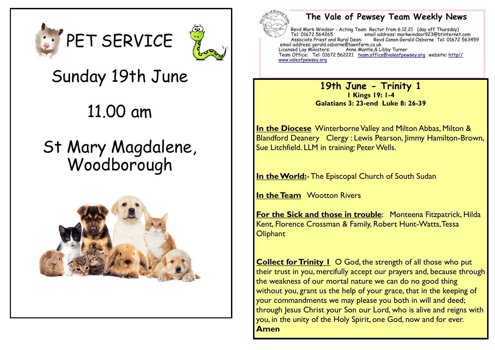



# Sunday 19th June

11.00 am

# St Mary Magdalene, Woodborough





#### **The Vale of Pewsey Team Weekly News**

Revd Mark Windsor - Acting Team Rector from 6.12.21 (day off Thursday) Tel: 01672 564265 email address: markwindsor923@btinternet.com Associate Priest and Rural Dean: Revd Canon Gerald Osborne Tel: 01672 563459 email address: gerald.osborne@lawnfarm.co.uk Licensed Lay Ministers: Anne Mantle,& Libby Turner Team Office: Tel: 01672 562221 <u>[team.office@valeofpewsey.org](mailto:team.office@valeofpewsey.org)</u> website: <u>[http//](http/www.valeofpewsey.org)</u> [www.valeofpewsey.org](http/www.valeofpewsey.org)

> **19th June - Trinity 1 1 Kings 19: 1-4 Galatians 3: 23-end Luke 8: 26-39**

**In the Diocese** Winterborne Valley and Milton Abbas, Milton & Blandford Deanery Clergy : Lewis Pearson, Jimmy Hamilton-Brown, Sue Litchfield. LLM in training: Peter Wells.

**In the World:**-The Episcopal Church of South Sudan

**In the Team** Wootton Rivers

**For the Sick and those in trouble**: Monteena Fitzpatrick, Hilda Kent, Florence Crossman & Family, Robert Hunt-Watts, Tessa **Oliphant** 

**Collect for Trinity 1 O God, the strength of all those who put** their trust in you, mercifully accept our prayers and, because through the weakness of our mortal nature we can do no good thing without you, grant us the help of your grace, that in the keeping of your commandments we may please you both in will and deed; through Jesus Christ your Son our Lord, who is alive and reigns with you, in the unity of the Holy Spirit, one God, now and for ever. **Amen**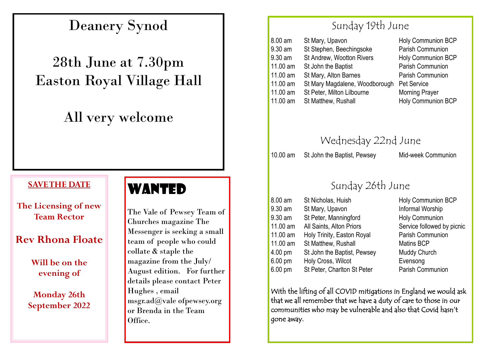## Deanery Synod

# 28th June at 7.30pm Easton Royal Village Hall

## All very welcome

#### **SAVE THE DATE**

**The Licensing of new Team Rector**

#### **Rev Rhona Floate**

**Will be on the evening of**

**Monday 26th September 2022**

### WANTED

The Vale of Pewsey Team of Churches magazine The Messenger is seeking a small team of people who could collate & staple the magazine from the July/ August edition. For further details please contact Peter Hughes , email msgr.ad@vale ofpewsey.org or Brenda in the Team Office.

### Sunday 19th June

| St Mary, Upavon                | <b>Holy Communion BCP</b> |
|--------------------------------|---------------------------|
| St Stephen, Beechingsoke       | Parish Communion          |
| St Andrew, Wootton Rivers      | <b>Holy Communion BCP</b> |
| St John the Baptist            | Parish Communion          |
| St Mary, Alton Barnes          | Parish Communion          |
| St Mary Magdalene, Woodborough | Pet Service               |
| St Peter, Milton Lilbourne     | <b>Morning Prayer</b>     |
| St Matthew, Rushall            | Holy Communion BCP        |
|                                |                           |

Wednesday 22nd June

10.00 am St John the Baptist, Pewsey Mid-week Communion

### Sunday 26th June

| <b>Holy Communion BCP</b>  |
|----------------------------|
|                            |
|                            |
| Service followed by picnic |
| Parish Communion           |
|                            |
|                            |
|                            |
| Parish Communion           |
|                            |

With the lifting of all COVID mitigations in England we would ask that we all remember that we have a duty of care to those in our communities who may be vulnerable and also that Covid hasn't gone away.